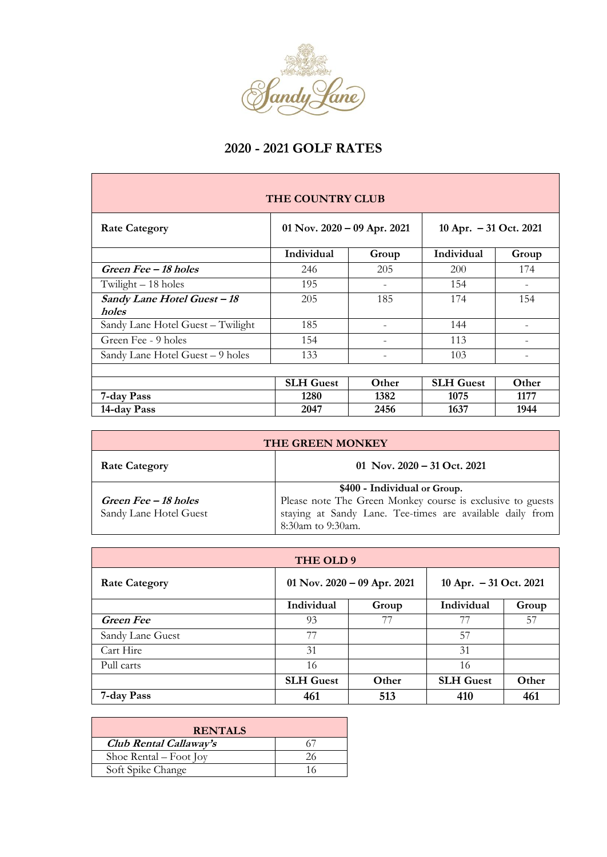

## **2020 - 2021 GOLF RATES**

| THE COUNTRY CLUB                  |                               |       |                        |       |  |  |
|-----------------------------------|-------------------------------|-------|------------------------|-------|--|--|
| <b>Rate Category</b>              | 01 Nov. $2020 - 09$ Apr. 2021 |       | 10 Apr. - 31 Oct. 2021 |       |  |  |
|                                   | Individual                    | Group | Individual             | Group |  |  |
| Green Fee - 18 holes              | 246                           | 205   | 200                    | 174   |  |  |
| Twilight - 18 holes               | 195                           |       | 154                    |       |  |  |
| Sandy Lane Hotel Guest - 18       | 205                           | 185   | 174                    | 154   |  |  |
| holes                             |                               |       |                        |       |  |  |
| Sandy Lane Hotel Guest - Twilight | 185                           |       | 144                    |       |  |  |
| Green Fee - 9 holes               | 154                           |       | 113                    |       |  |  |
| Sandy Lane Hotel Guest - 9 holes  | 133                           |       | 103                    |       |  |  |
|                                   |                               |       |                        |       |  |  |
|                                   | <b>SLH</b> Guest              | Other | <b>SLH</b> Guest       | Other |  |  |
| 7-day Pass                        | 1280                          | 1382  | 1075                   | 1177  |  |  |
| 14-day Pass                       | 2047                          | 2456  | 1637                   | 1944  |  |  |

| <b>THE GREEN MONKEY</b>                        |                                                                                                                                                                              |  |  |  |
|------------------------------------------------|------------------------------------------------------------------------------------------------------------------------------------------------------------------------------|--|--|--|
| <b>Rate Category</b>                           | 01 Nov. $2020 - 31$ Oct. 2021                                                                                                                                                |  |  |  |
| Green Fee – 18 holes<br>Sandy Lane Hotel Guest | \$400 - Individual or Group.<br>Please note The Green Monkey course is exclusive to guests<br>staying at Sandy Lane. Tee-times are available daily from<br>8:30am to 9:30am. |  |  |  |

| THE OLD 9            |                               |       |                         |       |  |  |
|----------------------|-------------------------------|-------|-------------------------|-------|--|--|
| <b>Rate Category</b> | 01 Nov. $2020 - 09$ Apr. 2021 |       | 10 Apr. $-31$ Oct. 2021 |       |  |  |
|                      | Individual                    | Group | Individual              | Group |  |  |
| <b>Green Fee</b>     | 93                            | 77    | 77                      | 57    |  |  |
| Sandy Lane Guest     | 77                            |       | 57                      |       |  |  |
| Cart Hire            | 31                            |       | 31                      |       |  |  |
| Pull carts           | 16                            |       | 16                      |       |  |  |
|                      | <b>SLH</b> Guest              | Other | <b>SLH</b> Guest        | Other |  |  |
| 7-day Pass           | 461                           | 513   | 410                     | 461   |  |  |

| <b>RENTALS</b>         |  |  |  |  |
|------------------------|--|--|--|--|
| Club Rental Callaway's |  |  |  |  |
| Shoe Rental – Foot Joy |  |  |  |  |
| Soft Spike Change      |  |  |  |  |